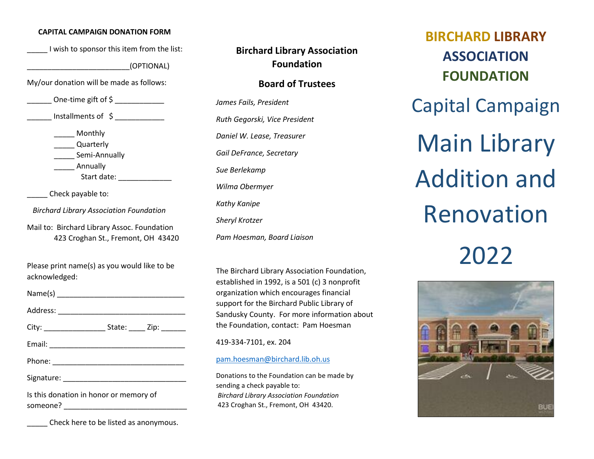#### **CAPITAL CAMPAIGN DONATION FORM**

\_\_\_\_\_ I wish to sponsor this item from the list:

\_\_\_\_\_\_\_\_\_\_\_\_\_\_\_\_\_\_\_\_\_\_\_\_\_(OPTIONAL)

My/our donation will be made as follows:

One-time gift of \$

Installments of  $\zeta$ 

\_\_\_\_\_ Monthly

\_\_\_\_\_ Quarterly

\_\_\_\_\_ Semi-Annually

\_\_\_\_\_ Annually

Start date:

Check payable to:

*Birchard Library Association Foundation*

Mail to: Birchard Library Assoc. Foundation 423 Croghan St., Fremont, OH 43420

Please print name(s) as you would like to be acknowledged:

Name(s) \_\_\_\_\_\_\_\_\_\_\_\_\_\_\_\_\_\_\_\_\_\_\_\_\_\_\_\_\_\_\_ Address: \_\_\_\_\_\_\_\_\_\_\_\_\_\_\_\_\_\_\_\_\_\_\_\_\_\_\_\_\_\_\_ City: \_\_\_\_\_\_\_\_\_\_\_\_\_\_\_\_\_\_\_\_\_\_\_\_\_\_\_State: \_\_\_\_\_\_\_ Zip: \_\_ Email: \_\_\_\_\_\_\_\_\_\_\_\_\_\_\_\_\_\_\_\_\_\_\_\_\_\_\_\_\_\_\_\_\_ Phone: \_\_\_\_\_\_\_\_\_\_\_\_\_\_\_\_\_\_\_\_\_\_\_\_\_\_\_\_\_\_\_\_ Signature: \_\_\_\_\_\_\_\_\_\_\_\_\_\_\_\_\_\_\_\_\_\_\_\_\_\_\_\_\_\_ Is this donation in honor or memory of

someone?

\_\_\_\_\_ Check here to be listed as anonymous.

**Birchard Library Association Foundation**

# **Board of Trustees**

*James Fails, President Ruth Gegorski, Vice President Daniel W. Lease, Treasurer Gail DeFrance, Secretary Sue Berlekamp Wilma Obermyer Kathy Kanipe Sheryl Krotzer Pam Hoesman, Board Liaison*

The Birchard Library Association Foundation, established in 1992, is a 501 (c) 3 nonprofit organization which encourages financial support for the Birchard Public Library of Sandusky County. For more information about the Foundation, contact: Pam Hoesman

419-334-7101, ex. 204

#### [pam.hoesman@birchard.lib.oh.us](mailto:pam.hoesman@birchard.lib.oh.us)

Donations to the Foundation can be made by sending a check payable to: *Birchard Library Association Foundation* 423 Croghan St., Fremont, OH 43420.

**BIRCHARD LIBRARY ASSOCIATION FOUNDATION** Capital Campaign Main Library Addition and Renovation 2022